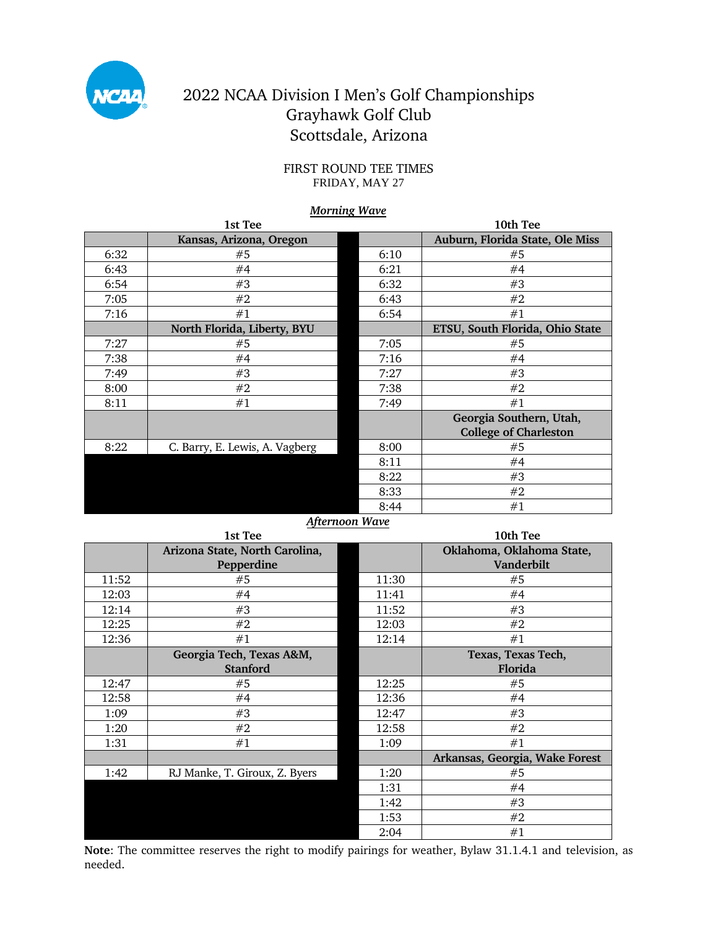

## 2022 NCAA Division I Men's Golf Championships Grayhawk Golf Club Scottsdale, Arizona

### FIRST ROUND TEE TIMES FRIDAY, MAY 27

### *Morning Wave*

|      | 1st Tee                        |      | 10th Tee                        |
|------|--------------------------------|------|---------------------------------|
|      | Kansas, Arizona, Oregon        |      | Auburn, Florida State, Ole Miss |
| 6:32 | #5                             | 6:10 | #5                              |
| 6:43 | #4                             | 6:21 | #4                              |
| 6:54 | #3                             | 6:32 | #3                              |
| 7:05 | #2                             | 6:43 | #2                              |
| 7:16 | #1                             | 6:54 | #1                              |
|      | North Florida, Liberty, BYU    |      | ETSU, South Florida, Ohio State |
| 7:27 | #5                             | 7:05 | #5                              |
| 7:38 | #4                             | 7:16 | #4                              |
| 7:49 | #3                             | 7:27 | #3                              |
| 8:00 | #2                             | 7:38 | #2                              |
| 8:11 | #1                             | 7:49 | #1                              |
|      |                                |      | Georgia Southern, Utah,         |
|      |                                |      | <b>College of Charleston</b>    |
| 8:22 | C. Barry, E. Lewis, A. Vagberg | 8:00 | #5                              |
|      |                                | 8:11 | #4                              |
|      |                                | 8:22 | #3                              |
|      |                                | 8:33 | #2                              |
|      |                                | 8:44 | #1                              |

### *Afternoon Wave*

| 1st Tee |                                |       | 10th Tee                       |  |
|---------|--------------------------------|-------|--------------------------------|--|
|         | Arizona State, North Carolina, |       | Oklahoma, Oklahoma State,      |  |
|         | Pepperdine                     |       | Vanderbilt                     |  |
| 11:52   | #5                             | 11:30 | #5                             |  |
| 12:03   | #4                             | 11:41 | #4                             |  |
| 12:14   | #3                             | 11:52 | #3                             |  |
| 12:25   | #2                             | 12:03 | #2                             |  |
| 12:36   | #1                             | 12:14 | #1                             |  |
|         | Georgia Tech, Texas A&M,       |       | Texas, Texas Tech,             |  |
|         | <b>Stanford</b>                |       | Florida                        |  |
| 12:47   | #5                             | 12:25 | #5                             |  |
| 12:58   | #4                             | 12:36 | #4                             |  |
| 1:09    | #3                             | 12:47 | #3                             |  |
| 1:20    | #2                             | 12:58 | #2                             |  |
| 1:31    | #1                             | 1:09  | #1                             |  |
|         |                                |       | Arkansas, Georgia, Wake Forest |  |
| 1:42    | RJ Manke, T. Giroux, Z. Byers  | 1:20  | #5                             |  |
|         |                                | 1:31  | #4                             |  |
|         |                                | 1:42  | #3                             |  |
|         |                                | 1:53  | #2                             |  |
|         |                                | 2:04  | #1                             |  |

**Note**: The committee reserves the right to modify pairings for weather, Bylaw 31.1.4.1 and television, as needed.